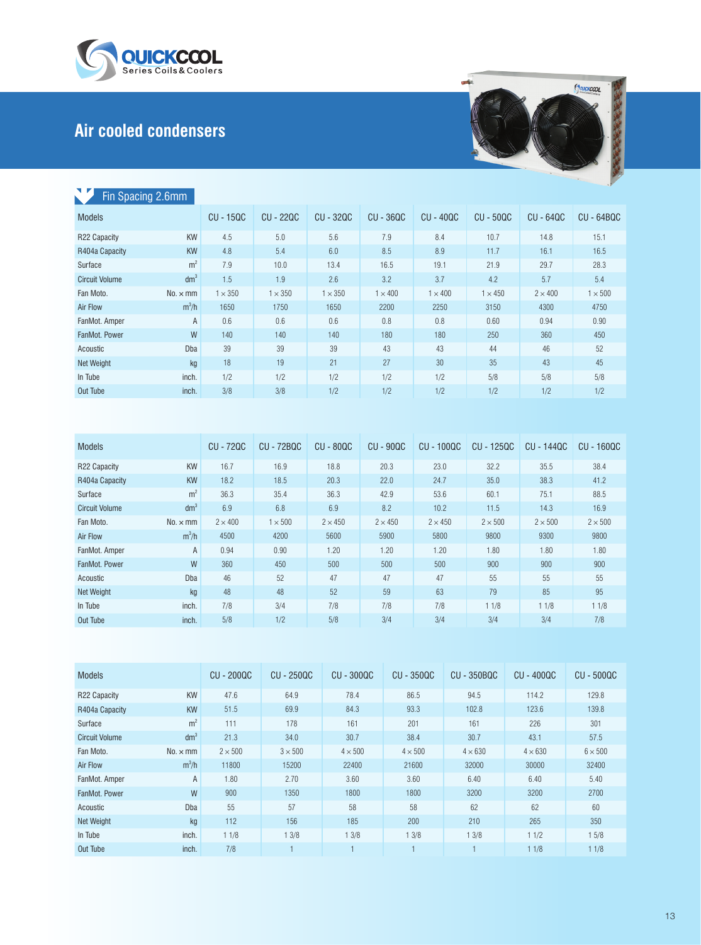

## **Air cooled condensers**



| Fin Spacing 2.6mm     |                 |                  |                  |                |                |                |                |                | $-100$         |
|-----------------------|-----------------|------------------|------------------|----------------|----------------|----------------|----------------|----------------|----------------|
| <b>Models</b>         |                 | <b>CU - 15QC</b> | <b>CU - 220C</b> | CU - 320C      | $CU - 36QC$    | $CU - 40QC$    | $CU - 50QC$    | $CU - 64QC$    | $CU - 64BQC$   |
| R22 Capacity          | <b>KW</b>       | 4.5              | 5.0              | 5.6            | 7.9            | 8.4            | 10.7           | 14.8           | 15.1           |
| R404a Capacity        | <b>KW</b>       | 4.8              | 5.4              | 6.0            | 8.5            | 8.9            | 11.7           | 16.1           | 16.5           |
| Surface               | m <sup>2</sup>  | 7.9              | 10.0             | 13.4           | 16.5           | 19.1           | 21.9           | 29.7           | 28.3           |
| <b>Circuit Volume</b> | dm <sup>3</sup> | 1.5              | 1.9              | 2.6            | 3.2            | 3.7            | 4.2            | 5.7            | 5.4            |
| Fan Moto.             | $No. \times mm$ | $1 \times 350$   | $1 \times 350$   | $1 \times 350$ | $1 \times 400$ | $1 \times 400$ | $1 \times 450$ | $2 \times 400$ | $1 \times 500$ |
| Air Flow              | $m^3/h$         | 1650             | 1750             | 1650           | 2200           | 2250           | 3150           | 4300           | 4750           |
| FanMot. Amper         | A               | 0.6              | 0.6              | 0.6            | 0.8            | 0.8            | 0.60           | 0.94           | 0.90           |
| FanMot. Power         | W               | 140              | 140              | 140            | 180            | 180            | 250            | 360            | 450            |
| Acoustic              | Dba             | 39               | 39               | 39             | 43             | 43             | 44             | 46             | 52             |
| <b>Net Weight</b>     | kg              | 18               | 19               | 21             | 27             | 30             | 35             | 43             | 45             |
| In Tube               | inch.           | 1/2              | 1/2              | 1/2            | 1/2            | 1/2            | 5/8            | 5/8            | 5/8            |
| Out Tube              | inch.           | 3/8              | 3/8              | 1/2            | 1/2            | 1/2            | 1/2            | 1/2            | 1/2            |

| <b>Models</b>         |                 | CU - 720C      | <b>CU - 72BQC</b> | $CU - 80QC$    | $CU - 90QC$    | $CU - 100QC$   | CU - 1250C     | CU - 1440C   | CU - 160QC   |
|-----------------------|-----------------|----------------|-------------------|----------------|----------------|----------------|----------------|--------------|--------------|
| R22 Capacity          | <b>KW</b>       | 16.7           | 16.9              | 18.8           | 20.3           | 23.0           | 32.2           | 35.5         | 38.4         |
| R404a Capacity        | <b>KW</b>       | 18.2           | 18.5              | 20.3           | 22.0           | 24.7           | 35.0           | 38.3         | 41.2         |
| Surface               | m <sup>2</sup>  | 36.3           | 35.4              | 36.3           | 42.9           | 53.6           | 60.1           | 75.1         | 88.5         |
| <b>Circuit Volume</b> | dm <sup>3</sup> | 6.9            | 6.8               | 6.9            | 8.2            | 10.2           | 11.5           | 14.3         | 16.9         |
| Fan Moto.             | $No. \times mm$ | $2 \times 400$ | $1 \times 500$    | $2 \times 450$ | $2 \times 450$ | $2 \times 450$ | $2 \times 500$ | $2\times500$ | $2\times500$ |
| Air Flow              | $m^3/h$         | 4500           | 4200              | 5600           | 5900           | 5800           | 9800           | 9300         | 9800         |
| FanMot. Amper         | А               | 0.94           | 0.90              | 1.20           | 1.20           | 1.20           | 1.80           | 1.80         | 1.80         |
| FanMot, Power         | W               | 360            | 450               | 500            | 500            | 500            | 900            | 900          | 900          |
| Acoustic              | <b>D</b> ba     | 46             | 52                | 47             | 47             | 47             | 55             | 55           | 55           |
| Net Weight            | kg              | 48             | 48                | 52             | 59             | 63             | 79             | 85           | 95           |
| In Tube               | inch.           | 7/8            | 3/4               | 7/8            | 7/8            | 7/8            | 11/8           | 11/8         | 11/8         |
| Out Tube              | inch.           | 5/8            | 1/2               | 5/8            | 3/4            | 3/4            | 3/4            | 3/4          | 7/8          |

| <b>Models</b>         |                 | <b>CU - 200QC</b> | CU - 250QC     | <b>CU - 300QC</b> | CU - 350QC     | <b>CU - 350BQC</b> | CU - 400QC     | $CU - 500QC$   |
|-----------------------|-----------------|-------------------|----------------|-------------------|----------------|--------------------|----------------|----------------|
| R22 Capacity          | <b>KW</b>       | 47.6              | 64.9           | 78.4              | 86.5           | 94.5               | 114.2          | 129.8          |
| R404a Capacity        | <b>KW</b>       | 51.5              | 69.9           | 84.3              | 93.3           | 102.8              | 123.6          | 139.8          |
| Surface               | m <sup>2</sup>  | 111               | 178            | 161               | 201            | 161                | 226            | 301            |
| <b>Circuit Volume</b> | dm <sup>3</sup> | 21.3              | 34.0           | 30.7              | 38.4           | 30.7               | 43.1           | 57.5           |
| Fan Moto.             | $No. \times mm$ | $2 \times 500$    | $3 \times 500$ | $4 \times 500$    | $4 \times 500$ | $4 \times 630$     | $4 \times 630$ | $6 \times 500$ |
| Air Flow              | $m^3/h$         | 11800             | 15200          | 22400             | 21600          | 32000              | 30000          | 32400          |
| FanMot. Amper         | Α               | 1.80              | 2.70           | 3.60              | 3.60           | 6.40               | 6.40           | 5.40           |
| FanMot, Power         | W               | 900               | 1350           | 1800              | 1800           | 3200               | 3200           | 2700           |
| Acoustic              | Dba             | 55                | 57             | 58                | 58             | 62                 | 62             | 60             |
| <b>Net Weight</b>     | kg              | 112               | 156            | 185               | 200            | 210                | 265            | 350            |
| In Tube               | inch.           | 11/8              | 13/8           | 13/8              | 13/8           | 13/8               | 11/2           | 15/8           |
| Out Tube              | inch.           | 7/8               |                | и                 |                |                    | 11/8           | 11/8           |